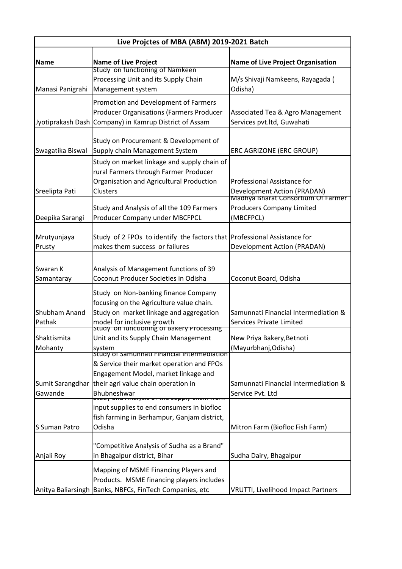| Live Projctes of MBA (ABM) 2019-2021 Batch |                                                                                                                                                                                                                                            |                                                                                                         |  |
|--------------------------------------------|--------------------------------------------------------------------------------------------------------------------------------------------------------------------------------------------------------------------------------------------|---------------------------------------------------------------------------------------------------------|--|
| Name                                       | <b>Name of Live Project</b><br>Study on functioning of Namkeen                                                                                                                                                                             | <b>Name of Live Project Organisation</b>                                                                |  |
| Manasi Panigrahi                           | Processing Unit and its Supply Chain<br>Management system                                                                                                                                                                                  | M/s Shivaji Namkeens, Rayagada (<br>Odisha)                                                             |  |
|                                            | Promotion and Development of Farmers<br><b>Producer Organisations (Farmers Producer</b><br>Jyotiprakash Dash Company) in Kamrup District of Assam                                                                                          | Associated Tea & Agro Management<br>Services pvt.ltd, Guwahati                                          |  |
| Swagatika Biswal                           | Study on Procurement & Development of<br>Supply chain Management System                                                                                                                                                                    | ERC AGRIZONE (ERC GROUP)                                                                                |  |
| Sreelipta Pati                             | Study on market linkage and supply chain of<br>rural Farmers through Farmer Producer<br>Organisation and Agricultural Production<br>Clusters                                                                                               | Professional Assistance for<br><b>Development Action (PRADAN)</b><br>Madhya Bharat Consortium Of Farmer |  |
| Deepika Sarangi                            | Study and Analysis of all the 109 Farmers<br>Producer Company under MBCFPCL                                                                                                                                                                | <b>Producers Company Limited</b><br>(MBCFPCL)                                                           |  |
| Mrutyunjaya<br>Prusty                      | Study of 2 FPOs to identify the factors that Professional Assistance for<br>makes them success or failures                                                                                                                                 | Development Action (PRADAN)                                                                             |  |
| Swaran K<br>Samantaray                     | Analysis of Management functions of 39<br>Coconut Producer Societies in Odisha                                                                                                                                                             | Coconut Board, Odisha                                                                                   |  |
| Shubham Anand<br>Pathak                    | Study on Non-banking finance Company<br>focusing on the Agriculture value chain.<br>Study on market linkage and aggregation                                                                                                                | Samunnati Financial Intermediation &<br>Services Private Limited                                        |  |
| Shaktismita<br>Mohanty                     | model for inclusive growth<br>Stuay on functioning of Bakery Processing<br>Unit and its Supply Chain Management<br>system                                                                                                                  | New Priya Bakery, Betnoti<br>(Mayurbhanj, Odisha)                                                       |  |
| Sumit Sarangdhar<br>Gawande                | study or samunnati Financial Intermediation<br>& Service their market operation and FPOs<br>Engagement Model, market linkage and<br>their agri value chain operation in<br>Bhubneshwar<br><del>ווט וו וווטווט פוקקטכ טווז זט כוכפוטו</del> | Samunnati Financial Intermediation &<br>Service Pvt. Ltd                                                |  |
| S Suman Patro                              | input supplies to end consumers in biofloc<br>fish farming in Berhampur, Ganjam district,<br>Odisha                                                                                                                                        | Mitron Farm (Biofloc Fish Farm)                                                                         |  |
| Anjali Roy                                 | "Competitive Analysis of Sudha as a Brand"<br>in Bhagalpur district, Bihar                                                                                                                                                                 | Sudha Dairy, Bhagalpur                                                                                  |  |
| Anitya Baliarsingh                         | Mapping of MSME Financing Players and<br>Products. MSME financing players includes<br>Banks, NBFCs, FinTech Companies, etc                                                                                                                 | <b>VRUTTI, Livelihood Impact Partners</b>                                                               |  |